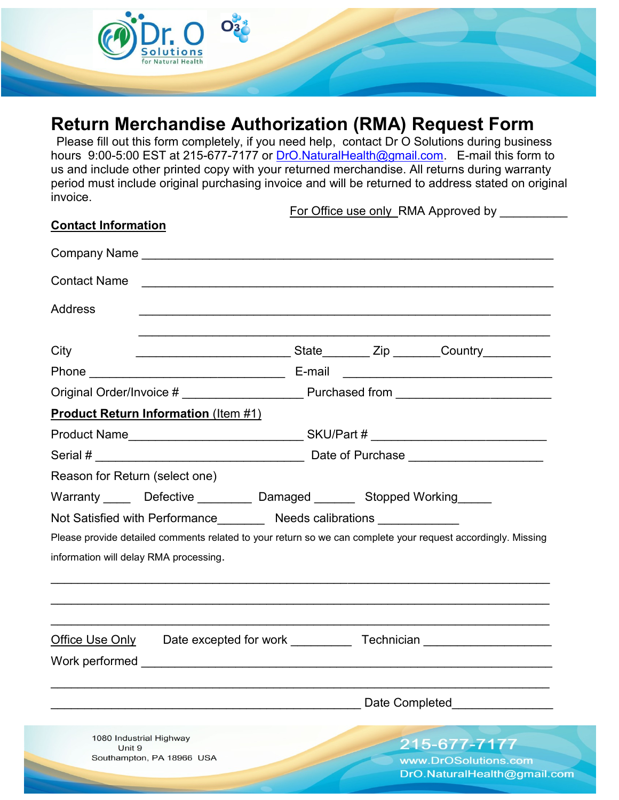

## **Return Merchandise Authorization (RMA) Request Form**

Please fill out this form completely, if you need help, contact Dr O Solutions during business hours 9:00-5:00 EST at 215-677-7177 or [DrO.NaturalHealth@gmail.com.](mailto:DrO.NaturalHealth@gmail.com) E-mail this form to us and include other printed copy with your returned merchandise. All returns during warranty period must include original purchasing invoice and will be returned to address stated on original invoice.

For Office use only RMA Approved by

om

| <b>Contact Information</b>                                               |  |                                                                                  |                                                                   |                                                                                                              |  |
|--------------------------------------------------------------------------|--|----------------------------------------------------------------------------------|-------------------------------------------------------------------|--------------------------------------------------------------------------------------------------------------|--|
|                                                                          |  |                                                                                  |                                                                   |                                                                                                              |  |
| <b>Contact Name</b>                                                      |  |                                                                                  |                                                                   |                                                                                                              |  |
| <b>Address</b>                                                           |  |                                                                                  |                                                                   |                                                                                                              |  |
| City                                                                     |  |                                                                                  |                                                                   | ___________________________State________ Zip _______Country___________                                       |  |
|                                                                          |  |                                                                                  |                                                                   |                                                                                                              |  |
|                                                                          |  | Original Order/Invoice # _____________________ Purchased from __________________ |                                                                   |                                                                                                              |  |
| <b>Product Return Information (Item #1)</b>                              |  |                                                                                  |                                                                   |                                                                                                              |  |
|                                                                          |  | Product Name________________________________SKU/Part # _________________________ |                                                                   |                                                                                                              |  |
|                                                                          |  |                                                                                  |                                                                   |                                                                                                              |  |
| Reason for Return (select one)                                           |  |                                                                                  |                                                                   |                                                                                                              |  |
| Warranty _____ Defective _________ Damaged _______ Stopped Working _____ |  |                                                                                  |                                                                   |                                                                                                              |  |
| Not Satisfied with Performance_________ Needs calibrations _____________ |  |                                                                                  |                                                                   |                                                                                                              |  |
| information will delay RMA processing.                                   |  |                                                                                  |                                                                   | Please provide detailed comments related to your return so we can complete your request accordingly. Missing |  |
| Office Use Only<br>Work performed                                        |  |                                                                                  |                                                                   |                                                                                                              |  |
|                                                                          |  |                                                                                  | Date Completed                                                    |                                                                                                              |  |
| 1080 Industrial Highway<br>Unit 9<br>Southampton, PA 18966 USA           |  |                                                                                  | 215-677-7177<br>www.DrOSolutions.com<br>DrO.NaturalHealth@gmail.o |                                                                                                              |  |